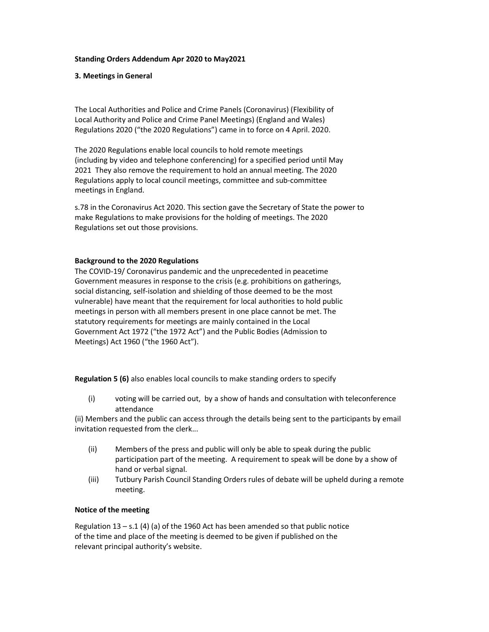# Standing Orders Addendum Apr 2020 to May2021

# 3. Meetings in General

The Local Authorities and Police and Crime Panels (Coronavirus) (Flexibility of Local Authority and Police and Crime Panel Meetings) (England and Wales) Regulations 2020 ("the 2020 Regulations") came in to force on 4 April. 2020.

The 2020 Regulations enable local councils to hold remote meetings (including by video and telephone conferencing) for a specified period until May 2021 They also remove the requirement to hold an annual meeting. The 2020 Regulations apply to local council meetings, committee and sub-committee meetings in England.

s.78 in the Coronavirus Act 2020. This section gave the Secretary of State the power to make Regulations to make provisions for the holding of meetings. The 2020 Regulations set out those provisions.

### Background to the 2020 Regulations

The COVID-19/ Coronavirus pandemic and the unprecedented in peacetime Government measures in response to the crisis (e.g. prohibitions on gatherings, social distancing, self-isolation and shielding of those deemed to be the most vulnerable) have meant that the requirement for local authorities to hold public meetings in person with all members present in one place cannot be met. The statutory requirements for meetings are mainly contained in the Local Government Act 1972 ("the 1972 Act") and the Public Bodies (Admission to Meetings) Act 1960 ("the 1960 Act").

Regulation 5 (6) also enables local councils to make standing orders to specify

(i) voting will be carried out, by a show of hands and consultation with teleconference attendance

(ii) Members and the public can access through the details being sent to the participants by email invitation requested from the clerk...

- (ii) Members of the press and public will only be able to speak during the public participation part of the meeting. A requirement to speak will be done by a show of hand or verbal signal.
- (iii) Tutbury Parish Council Standing Orders rules of debate will be upheld during a remote meeting.

#### Notice of the meeting

Regulation  $13 - s.1$  (4) (a) of the 1960 Act has been amended so that public notice of the time and place of the meeting is deemed to be given if published on the relevant principal authority's website.